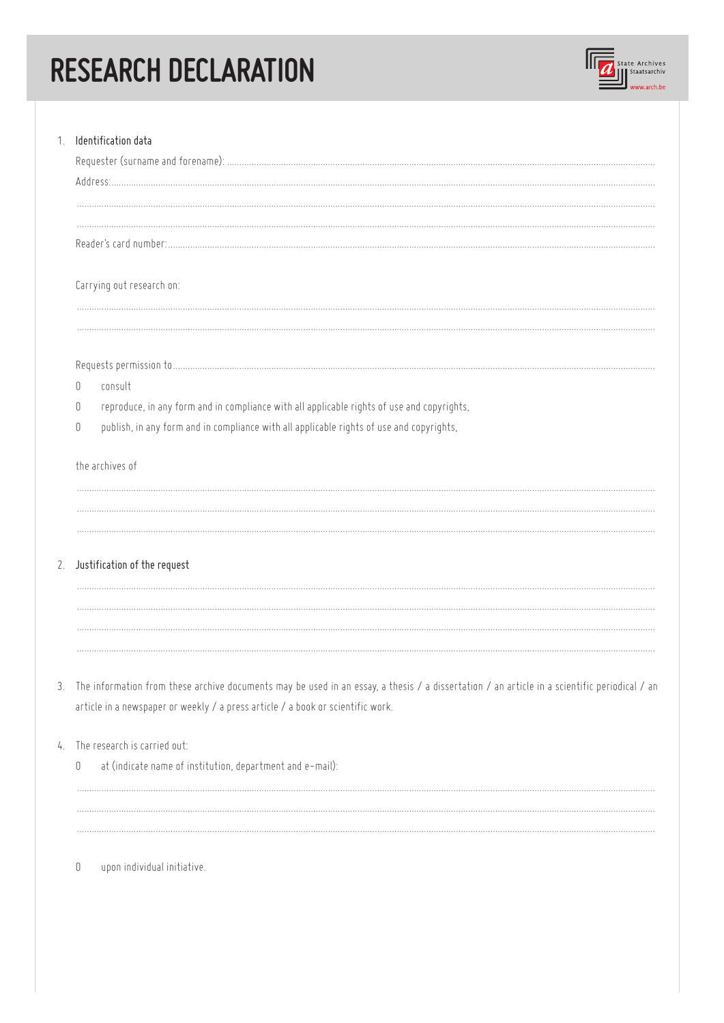## RESEARCH DECLARATION



| 1. Identification data                                                                                                                          |
|-------------------------------------------------------------------------------------------------------------------------------------------------|
|                                                                                                                                                 |
|                                                                                                                                                 |
| Carrying out research on:                                                                                                                       |
|                                                                                                                                                 |
|                                                                                                                                                 |
| consult<br>0<br>reproduce, in any form and in compliance with all applicable rights of use and copyrights,                                      |
| $\Box$<br>publish, in any form and in compliance with all applicable rights of use and copyrights,<br>0                                         |
|                                                                                                                                                 |
| the archives of                                                                                                                                 |
|                                                                                                                                                 |
|                                                                                                                                                 |
| 2. Justification of the request                                                                                                                 |
|                                                                                                                                                 |
|                                                                                                                                                 |
|                                                                                                                                                 |
| 3. The information from these archive documents may be used in an essay, a thesis / a dissertation / an article in a scientific periodical / an |
| article in a newspaper or weekly / a press article / a book or scientific work.                                                                 |
| 4. The research is carried out:                                                                                                                 |
| at (indicate name of institution, department and e-mail):<br>0                                                                                  |
|                                                                                                                                                 |
|                                                                                                                                                 |
|                                                                                                                                                 |
| upon individual initiative.<br>0                                                                                                                |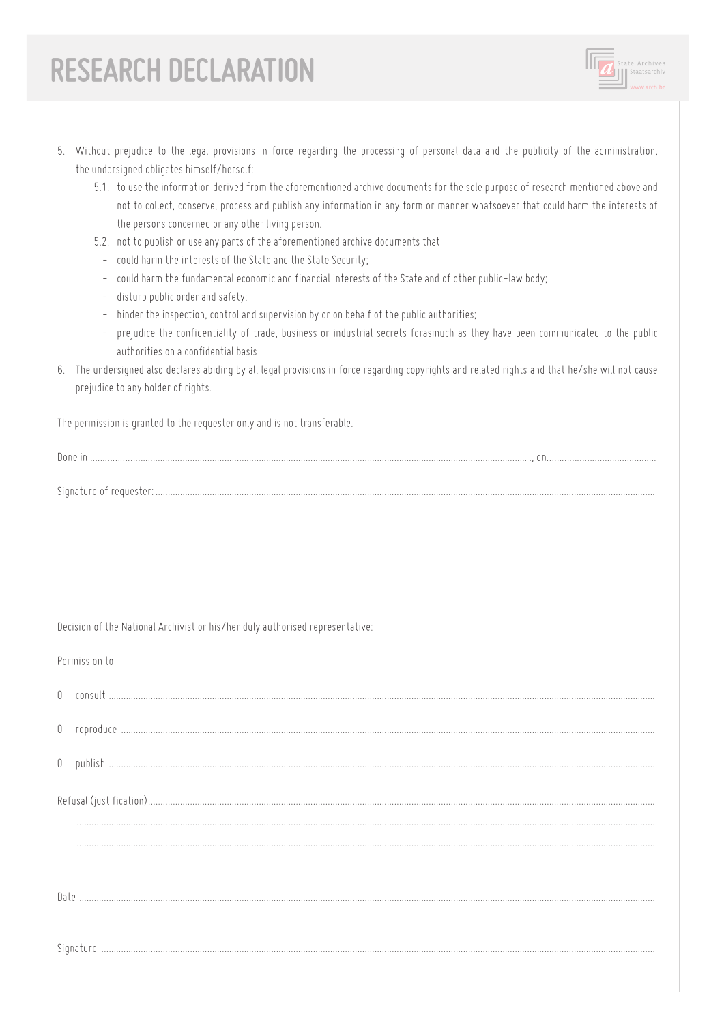## RESEARCH DECLARATION



- 5.1. to use the information derived from the aforementioned archive documents for the sole purpose of research mentioned above and not to collect, conserve, process and publish any information in any form or manner whatsoever that could harm the interests of the persons concerned or any other living person.
- 5.2. not to publish or use any parts of the aforementioned archive documents that
	- could harm the interests of the State and the State Security:
	- could harm the fundamental economic and financial interests of the State and of other public-law body;
	- disturb public order and safety;
	- hinder the inspection, control and supervision by or on behalf of the public authorities;
	- prejudice the confidentiality of trade, business or industrial secrets forasmuch as they have been communicated to the public authorities on a confidential basis
- 6. The undersigned also declares abiding by all legal provisions in force regarding copyrights and related rights and that he/she will not cause prejudice to any holder of rights.

The permission is granted to the requester only and is not transferable.

|--|

Decision of the National Archivist or his/her duly authorised representative:

Permission to

| $\mathbb{0}$ | consult   |
|--------------|-----------|
| 0            | reproduce |
|              | -publist  |